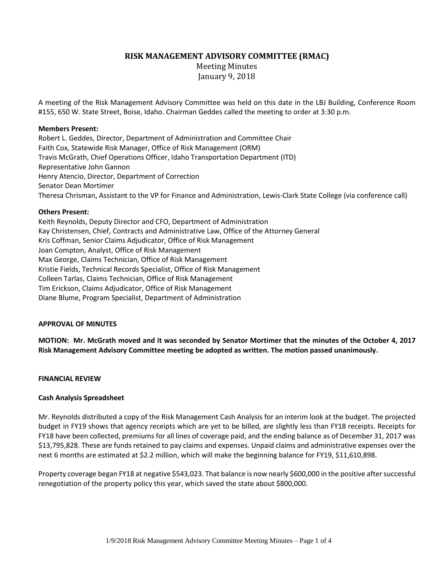**RISK MANAGEMENT ADVISORY COMMITTEE (RMAC)**

Meeting Minutes January 9, 2018

A meeting of the Risk Management Advisory Committee was held on this date in the LBJ Building, Conference Room #155, 650 W. State Street, Boise, Idaho. Chairman Geddes called the meeting to order at 3:30 p.m.

### **Members Present:**

Robert L. Geddes, Director, Department of Administration and Committee Chair Faith Cox, Statewide Risk Manager, Office of Risk Management (ORM) Travis McGrath, Chief Operations Officer, Idaho Transportation Department (ITD) Representative John Gannon Henry Atencio, Director, Department of Correction Senator Dean Mortimer Theresa Chrisman, Assistant to the VP for Finance and Administration, Lewis-Clark State College (via conference call)

### **Others Present:**

Keith Reynolds, Deputy Director and CFO, Department of Administration Kay Christensen, Chief, Contracts and Administrative Law, Office of the Attorney General Kris Coffman, Senior Claims Adjudicator, Office of Risk Management Joan Compton, Analyst, Office of Risk Management Max George, Claims Technician, Office of Risk Management Kristie Fields, Technical Records Specialist, Office of Risk Management Colleen Tarlas, Claims Technician, Office of Risk Management Tim Erickson, Claims Adjudicator, Office of Risk Management Diane Blume, Program Specialist, Department of Administration

## **APPROVAL OF MINUTES**

**MOTION: Mr. McGrath moved and it was seconded by Senator Mortimer that the minutes of the October 4, 2017 Risk Management Advisory Committee meeting be adopted as written. The motion passed unanimously.**

## **FINANCIAL REVIEW**

## **Cash Analysis Spreadsheet**

Mr. Reynolds distributed a copy of the Risk Management Cash Analysis for an interim look at the budget. The projected budget in FY19 shows that agency receipts which are yet to be billed, are slightly less than FY18 receipts. Receipts for FY18 have been collected, premiums for all lines of coverage paid, and the ending balance as of December 31, 2017 was \$13,795,828. These are funds retained to pay claims and expenses. Unpaid claims and administrative expenses over the next 6 months are estimated at \$2.2 million, which will make the beginning balance for FY19, \$11,610,898.

Property coverage began FY18 at negative \$543,023. That balance is now nearly \$600,000 in the positive aftersuccessful renegotiation of the property policy this year, which saved the state about \$800,000.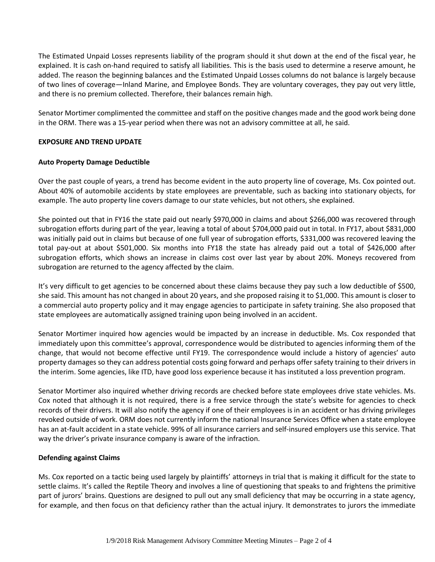The Estimated Unpaid Losses represents liability of the program should it shut down at the end of the fiscal year, he explained. It is cash on-hand required to satisfy all liabilities. This is the basis used to determine a reserve amount, he added. The reason the beginning balances and the Estimated Unpaid Losses columns do not balance is largely because of two lines of coverage—Inland Marine, and Employee Bonds. They are voluntary coverages, they pay out very little, and there is no premium collected. Therefore, their balances remain high.

Senator Mortimer complimented the committee and staff on the positive changes made and the good work being done in the ORM. There was a 15-year period when there was not an advisory committee at all, he said.

## **EXPOSURE AND TREND UPDATE**

## **Auto Property Damage Deductible**

Over the past couple of years, a trend has become evident in the auto property line of coverage, Ms. Cox pointed out. About 40% of automobile accidents by state employees are preventable, such as backing into stationary objects, for example. The auto property line covers damage to our state vehicles, but not others, she explained.

She pointed out that in FY16 the state paid out nearly \$970,000 in claims and about \$266,000 was recovered through subrogation efforts during part of the year, leaving a total of about \$704,000 paid out in total. In FY17, about \$831,000 was initially paid out in claims but because of one full year of subrogation efforts, \$331,000 was recovered leaving the total pay-out at about \$501,000. Six months into FY18 the state has already paid out a total of \$426,000 after subrogation efforts, which shows an increase in claims cost over last year by about 20%. Moneys recovered from subrogation are returned to the agency affected by the claim.

It's very difficult to get agencies to be concerned about these claims because they pay such a low deductible of \$500, she said. This amount has not changed in about 20 years, and she proposed raising it to \$1,000. This amount is closer to a commercial auto property policy and it may engage agencies to participate in safety training. She also proposed that state employees are automatically assigned training upon being involved in an accident.

Senator Mortimer inquired how agencies would be impacted by an increase in deductible. Ms. Cox responded that immediately upon this committee's approval, correspondence would be distributed to agencies informing them of the change, that would not become effective until FY19. The correspondence would include a history of agencies' auto property damages so they can address potential costs going forward and perhaps offer safety training to their drivers in the interim. Some agencies, like ITD, have good loss experience because it has instituted a loss prevention program.

Senator Mortimer also inquired whether driving records are checked before state employees drive state vehicles. Ms. Cox noted that although it is not required, there is a free service through the state's website for agencies to check records of their drivers. It will also notify the agency if one of their employees is in an accident or has driving privileges revoked outside of work. ORM does not currently inform the national Insurance Services Office when a state employee has an at-fault accident in a state vehicle. 99% of all insurance carriers and self-insured employers use this service. That way the driver's private insurance company is aware of the infraction.

# **Defending against Claims**

Ms. Cox reported on a tactic being used largely by plaintiffs' attorneys in trial that is making it difficult for the state to settle claims. It's called the Reptile Theory and involves a line of questioning that speaks to and frightens the primitive part of jurors' brains. Questions are designed to pull out any small deficiency that may be occurring in a state agency, for example, and then focus on that deficiency rather than the actual injury. It demonstrates to jurors the immediate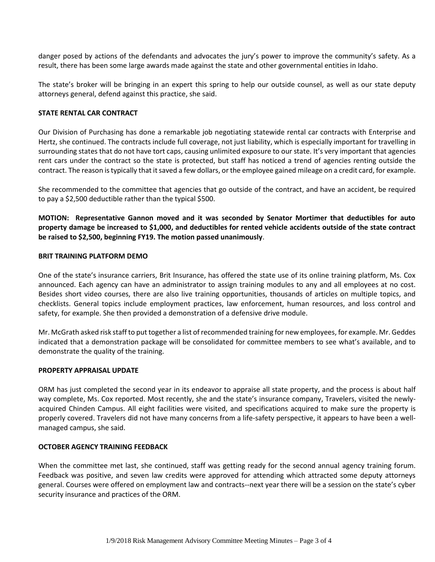danger posed by actions of the defendants and advocates the jury's power to improve the community's safety. As a result, there has been some large awards made against the state and other governmental entities in Idaho.

The state's broker will be bringing in an expert this spring to help our outside counsel, as well as our state deputy attorneys general, defend against this practice, she said.

## **STATE RENTAL CAR CONTRACT**

Our Division of Purchasing has done a remarkable job negotiating statewide rental car contracts with Enterprise and Hertz, she continued. The contracts include full coverage, not just liability, which is especially important for travelling in surrounding states that do not have tort caps, causing unlimited exposure to our state. It's very important that agencies rent cars under the contract so the state is protected, but staff has noticed a trend of agencies renting outside the contract. The reason is typically that it saved a few dollars, or the employee gained mileage on a credit card, for example.

She recommended to the committee that agencies that go outside of the contract, and have an accident, be required to pay a \$2,500 deductible rather than the typical \$500.

**MOTION: Representative Gannon moved and it was seconded by Senator Mortimer that deductibles for auto property damage be increased to \$1,000, and deductibles for rented vehicle accidents outside of the state contract be raised to \$2,500, beginning FY19. The motion passed unanimously**.

### **BRIT TRAINING PLATFORM DEMO**

One of the state's insurance carriers, Brit Insurance, has offered the state use of its online training platform, Ms. Cox announced. Each agency can have an administrator to assign training modules to any and all employees at no cost. Besides short video courses, there are also live training opportunities, thousands of articles on multiple topics, and checklists. General topics include employment practices, law enforcement, human resources, and loss control and safety, for example. She then provided a demonstration of a defensive drive module.

Mr. McGrath asked risk staff to put together a list of recommended training for new employees, for example. Mr. Geddes indicated that a demonstration package will be consolidated for committee members to see what's available, and to demonstrate the quality of the training.

### **PROPERTY APPRAISAL UPDATE**

ORM has just completed the second year in its endeavor to appraise all state property, and the process is about half way complete, Ms. Cox reported. Most recently, she and the state's insurance company, Travelers, visited the newlyacquired Chinden Campus. All eight facilities were visited, and specifications acquired to make sure the property is properly covered. Travelers did not have many concerns from a life-safety perspective, it appears to have been a wellmanaged campus, she said.

### **OCTOBER AGENCY TRAINING FEEDBACK**

When the committee met last, she continued, staff was getting ready for the second annual agency training forum. Feedback was positive, and seven law credits were approved for attending which attracted some deputy attorneys general. Courses were offered on employment law and contracts--next year there will be a session on the state's cyber security insurance and practices of the ORM.